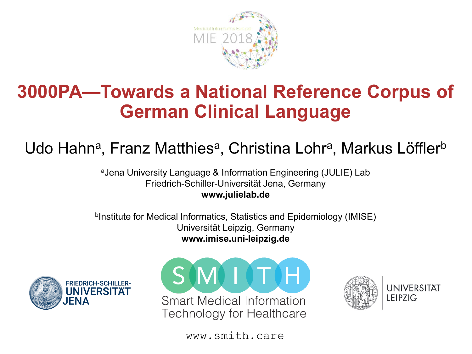

### 3000PA—Towards a National Reference Corpus of German Clinical Language

#### Udo Hahn<sup>a</sup>, Franz Matthies<sup>a</sup>, Christina Lohr<sup>a</sup>, Markus Löffler<sup>b</sup>

<sup>a</sup>Jena University Language & Information Engineering (JULIE) Lab Friedrich-Schiller-Universität Jena, Germany www.julielab.de

b Institute for Medical Informatics, Statistics and Epidemiology (IMISE) Universität Leipzig, Germany www.imise.uni-leipzig.de







**UNIVERSITÄT LEIPZIG** 

www.smith.care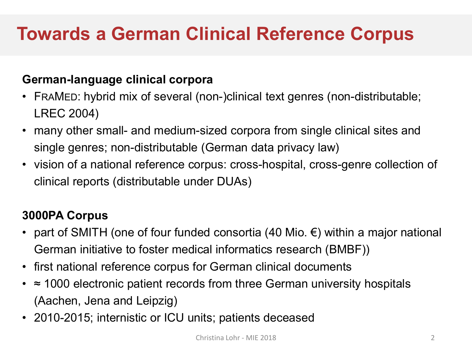# Towards a German Clinical Reference Corpus

#### German-language clinical corpora

- FRAMED: hybrid mix of several (non-)clinical text genres (non-distributable; LREC 2004)
- many other small- and medium-sized corpora from single clinical sites and single genres; non-distributable (German data privacy law)
- vision of a national reference corpus: cross-hospital, cross-genre collection of clinical reports (distributable under DUAs)

#### 3000PA Corpus

- part of SMITH (one of four funded consortia (40 Mio.  $\epsilon$ ) within a major national German initiative to foster medical informatics research (BMBF))
- first national reference corpus for German clinical documents
- ≈ 1000 electronic patient records from three German university hospitals (Aachen, Jena and Leipzig)
- 2010-2015; internistic or ICU units; patients deceased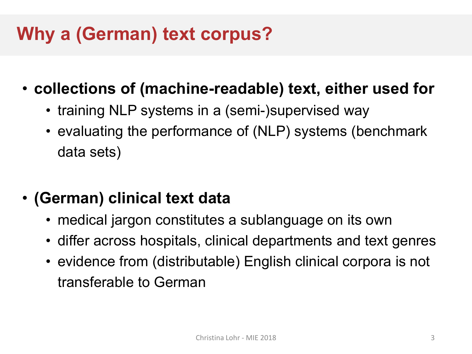# Why a (German) text corpus?

- collections of (machine-readable) text, either used for
	- training NLP systems in a (semi-)supervised way
	- evaluating the performance of (NLP) systems (benchmark data sets)
- (German) clinical text data
	- medical jargon constitutes a sublanguage on its own
	- differ across hospitals, clinical departments and text genres
	- evidence from (distributable) English clinical corpora is not transferable to German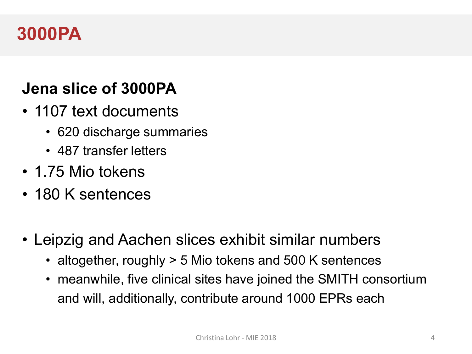#### 3000PA

#### Jena slice of 3000PA

- 1107 text documents
	- 620 discharge summaries
	- 487 transfer letters
- 1.75 Mio tokens
- 180 K sentences
- Leipzig and Aachen slices exhibit similar numbers
	- altogether, roughly > 5 Mio tokens and 500 K sentences
	- meanwhile, five clinical sites have joined the SMITH consortium and will, additionally, contribute around 1000 EPRs each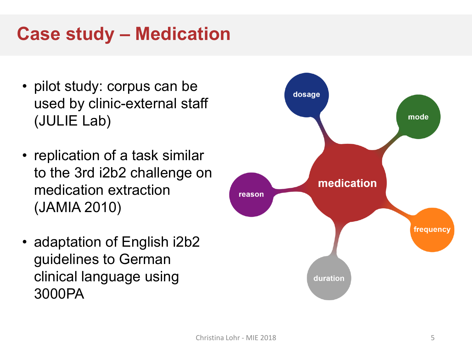# Case study – Medication

- pilot study: corpus can be used by clinic-external staff (JULIE Lab)
- replication of a task similar to the 3rd i2b2 challenge on medication extraction (JAMIA 2010)
- adaptation of English i2b2 guidelines to German clinical language using 3000PA

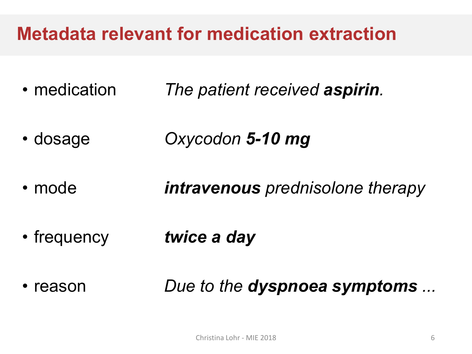# Metadata relevant for medication extraction

- medication The patient received aspirin.
- dosage Oxycodon 5-10 mg
- mode **intravenous** prednisolone therapy
- frequency twice a day
- reason **Due to the dyspnoea symptoms** ...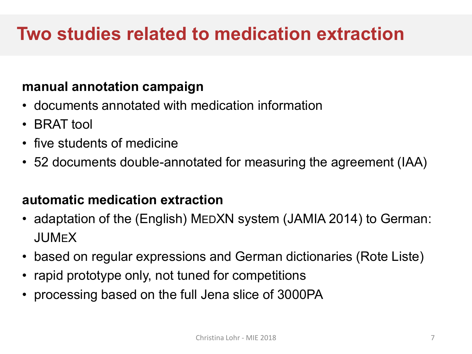# Two studies related to medication extraction

#### manual annotation campaign

- documents annotated with medication information
- BRAT tool
- five students of medicine
- 52 documents double-annotated for measuring the agreement (IAA)

#### automatic medication extraction

- adaptation of the (English) MEDXN system (JAMIA 2014) to German: JUMEX
- based on regular expressions and German dictionaries (Rote Liste)
- rapid prototype only, not tuned for competitions
- processing based on the full Jena slice of 3000PA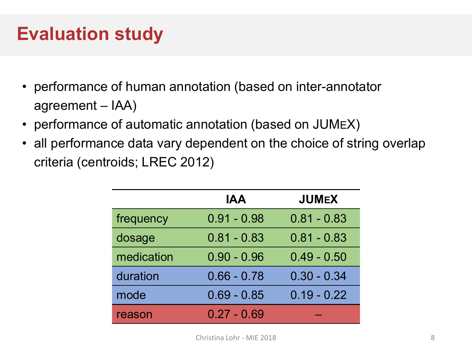## Evaluation study

- performance of human annotation (based on inter-annotator agreement – IAA)
- performance of automatic annotation (based on JUMEX)
- all performance data vary dependent on the choice of string overlap criteria (centroids; LREC 2012)

|            | <b>IAA</b>    | <b>JUMEX</b>  |
|------------|---------------|---------------|
| frequency  | $0.91 - 0.98$ | $0.81 - 0.83$ |
| dosage     | $0.81 - 0.83$ | $0.81 - 0.83$ |
| medication | $0.90 - 0.96$ | $0.49 - 0.50$ |
| duration   | $0.66 - 0.78$ | $0.30 - 0.34$ |
| mode       | $0.69 - 0.85$ | $0.19 - 0.22$ |
| reason     | $0.27 - 0.69$ |               |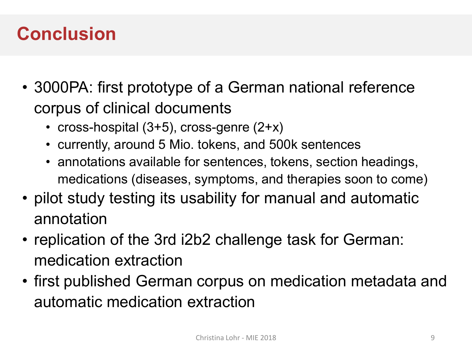### **Conclusion**

- 3000PA: first prototype of a German national reference corpus of clinical documents
	- cross-hospital (3+5), cross-genre (2+x)
	- currently, around 5 Mio. tokens, and 500k sentences
	- annotations available for sentences, tokens, section headings, medications (diseases, symptoms, and therapies soon to come)
- pilot study testing its usability for manual and automatic annotation
- replication of the 3rd i2b2 challenge task for German: medication extraction
- first published German corpus on medication metadata and automatic medication extraction